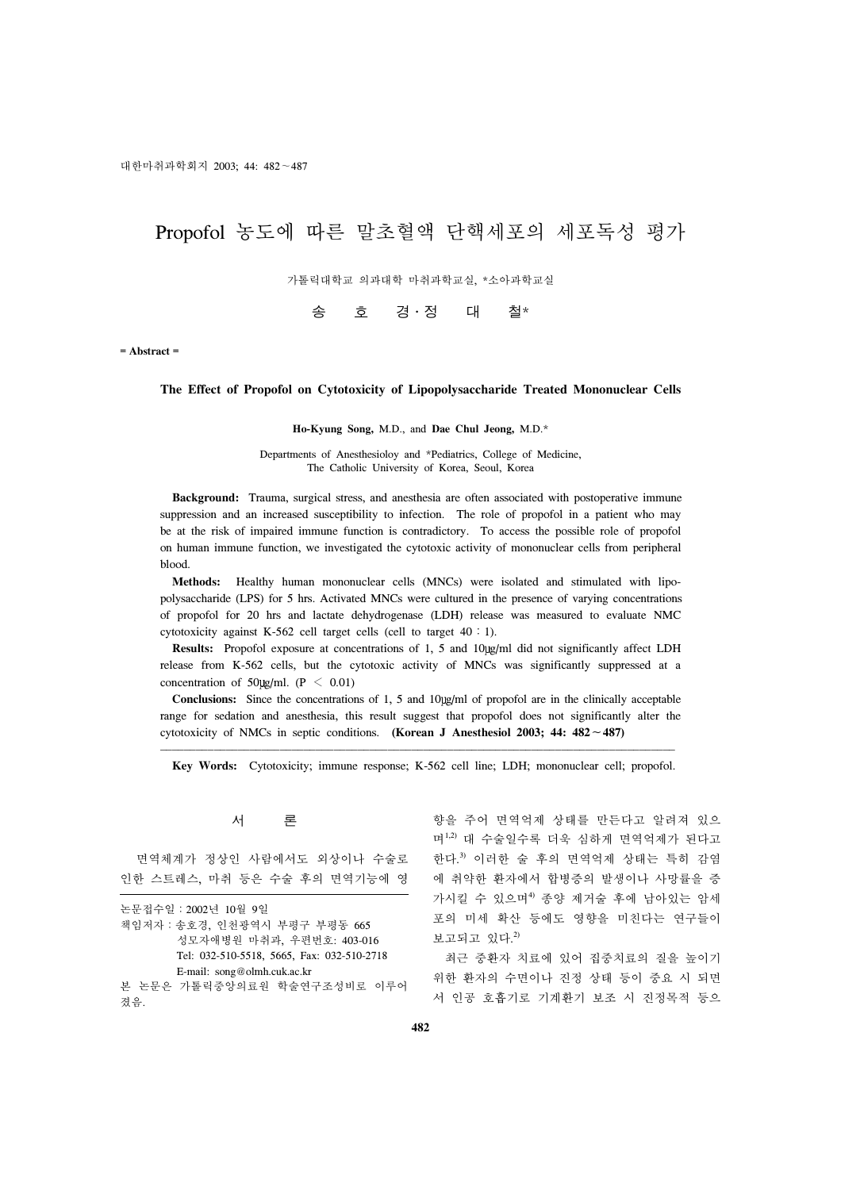# Propofol 농도에 따른 말초혈액 단핵세포의 세포독성 평가

가톨릭대학교 의과대학 마취과학교실, \*소아과학교실

# 송 호 경․정 대 철\*

**= Abstract =**

# **The Effect of Propofol on Cytotoxicity of Lipopolysaccharide Treated Mononuclear Cells**

#### **Ho-Kyung Song,** M.D., and **Dae Chul Jeong,** M.D.\*

Departments of Anesthesioloy and \*Pediatrics, College of Medicine, The Catholic University of Korea, Seoul, Korea

 **Background:** Trauma, surgical stress, and anesthesia are often associated with postoperative immune suppression and an increased susceptibility to infection. The role of propofol in a patient who may be at the risk of impaired immune function is contradictory. To access the possible role of propofol on human immune function, we investigated the cytotoxic activity of mononuclear cells from peripheral blood.

 **Methods:** Healthy human mononuclear cells (MNCs) were isolated and stimulated with lipopolysaccharide (LPS) for 5 hrs. Activated MNCs were cultured in the presence of varying concentrations of propofol for 20 hrs and lactate dehydrogenase (LDH) release was measured to evaluate NMC cytotoxicity against K-562 cell target cells (cell to target 40:1).

**Results:** Propofol exposure at concentrations of 1, 5 and 10 ug/ml did not significantly affect LDH release from K-562 cells, but the cytotoxic activity of MNCs was significantly suppressed at a concentration of 50 $\mu$ g/ml. (P < 0.01)

Conclusions: Since the concentrations of 1, 5 and 10 g/ml of propofol are in the clinically acceptable range for sedation and anesthesia, this result suggest that propofol does not significantly alter the cytotoxicity of NMCs in septic conditions. **(Korean J Anesthesiol 2003; 44: 482**∼**487)**

**Key Words:** Cytotoxicity; immune response; K-562 cell line; LDH; mononuclear cell; propofol.

# 서 론

 면역체계가 정상인 사람에서도 외상이나 수술로 인한 스트레스, 마취 등은 수술 후의 면역기능에 영

|                             |  |  | 논문접수일 : 2002년 10월 9일                       |  |  |  |
|-----------------------------|--|--|--------------------------------------------|--|--|--|
|                             |  |  | 책임저자 : 송호경, 인천광역시 부평구 부평동 665              |  |  |  |
|                             |  |  | 성모자애병원 마취과, 우편번호: 403-016                  |  |  |  |
|                             |  |  | Tel: 032-510-5518, 5665, Fax: 032-510-2718 |  |  |  |
| E-mail: song@olmh.cuk.ac.kr |  |  |                                            |  |  |  |
|                             |  |  | 본 논문은 가톨릭중앙의료원 학술연구조성비로 이루어                |  |  |  |

졌음.

향을 주어 면역억제 상태를 만든다고 알려져 있으 며1,2) 대 수술일수록 더욱 심하게 면역억제가 된다고 한다. 3) 이러한 술 후의 면역억제 상태는 특히 감염 에 취약한 환자에서 합병증의 발생이나 사망률을 증 가시킬 수 있으며4) 종양 제거술 후에 남아있는 암세 포의 미세 확산 등에도 영향을 미친다는 연구들이 보고되고 있다. 2)

 최근 중환자 치료에 있어 집중치료의 질을 높이기 위한 환자의 수면이나 진정 상태 등이 중요 시 되면 서 인공 호흡기로 기계환기 보조 시 진정목적 등으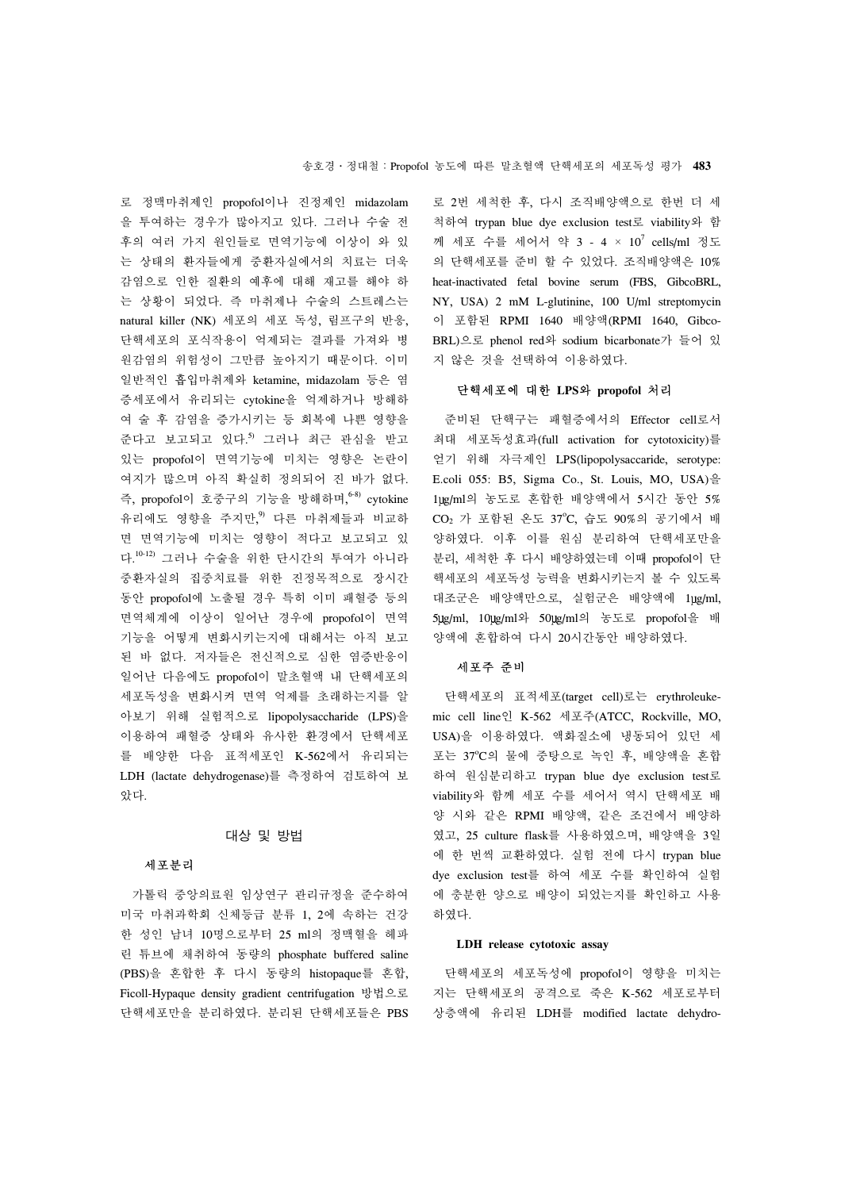로 정맥마취제인 propofol이나 진정제인 midazolam 을 투여하는 경우가 많아지고 있다. 그러나 수술 전 후의 여러 가지 원인들로 면역기능에 이상이 와 있 는 상태의 환자들에게 중환자실에서의 치료는 더욱 감염으로 인한 질환의 예후에 대해 재고를 해야 하 는 상황이 되었다. 즉 마취제나 수술의 스트레스는 natural killer (NK) 세포의 세포 독성, 림프구의 반응, 단핵세포의 포식작용이 억제되는 결과를 가져와 병 원감염의 위험성이 그만큼 높아지기 때문이다. 이미 일반적인 흡입마취제와 ketamine, midazolam 등은 염 증세포에서 유리되는 cytokine을 억제하거나 방해하 여 술 후 감염을 증가시키는 등 회복에 나쁜 영향을 준다고 보고되고 있다. 5) 그러나 최근 관심을 받고 있는 propofol이 면역기능에 미치는 영향은 논란이 여지가 많으며 아직 확실히 정의되어 진 바가 없다. 즉, propofol이 호중구의 기능을 방해하며, 6-8) cytokine 유리에도 영향을 주지만, 9) 다른 마취제들과 비교하 면 면역기능에 미치는 영향이 적다고 보고되고 있 다. 10-12) 그러나 수술을 위한 단시간의 투여가 아니라 중환자실의 집중치료를 위한 진정목적으로 장시간 동안 propofol에 노출될 경우 특히 이미 패혈증 등의 면역체계에 이상이 일어난 경우에 propofol이 면역 기능을 어떻게 변화시키는지에 대해서는 아직 보고 된 바 없다. 저자들은 전신적으로 심한 염증반응이 일어난 다음에도 propofol이 말초혈액 내 단핵세포의 세포독성을 변화시켜 면역 억제를 초래하는지를 알 아보기 위해 실험적으로 lipopolysaccharide (LPS)을 이용하여 패혈증 상태와 유사한 환경에서 단핵세포 를 배양한 다음 표적세포인 K-562에서 유리되는 LDH (lactate dehydrogenase)를 측정하여 검토하여 보 았다.

#### 대상 및 방법

#### 세포분리

 가톨릭 중앙의료원 임상연구 관리규정을 준수하여 미국 마취과학회 신체등급 분류 1, 2에 속하는 건강 한 성인 남녀 10명으로부터 25 ml의 정맥혈을 헤파 린 튜브에 채취하여 동량의 phosphate buffered saline (PBS)을 혼합한 후 다시 동량의 histopaque를 혼합, Ficoll-Hypaque density gradient centrifugation 방법으로 단핵세포만을 분리하였다. 분리된 단핵세포들은 PBS 로 2번 세척한 후, 다시 조직배양액으로 한번 더 세 척하여 trypan blue dye exclusion test로 viability와 함 께 세포 수를 세어서 약 3 - 4 × 10<sup>7</sup> cells/ml 정도 의 단핵세포를 준비 할 수 있었다. 조직배양액은 10% heat-inactivated fetal bovine serum (FBS, GibcoBRL, NY, USA) 2 mM L-glutinine, 100 U/ml streptomycin 이 포함된 RPMI 1640 배양액(RPMI 1640, Gibco-BRL)으로 phenol red와 sodium bicarbonate가 들어 있 지 않은 것을 선택하여 이용하였다.

# 단핵세포에 대한 **LPS**와 **propofol** 처리

 준비된 단핵구는 패혈증에서의 Effector cell로서 최대 세포독성효과(full activation for cytotoxicity)를 얻기 위해 자극제인 LPS(lipopolysaccaride, serotype: E.coli 055: B5, Sigma Co., St. Louis, MO, USA)을 1 g/ml의 농도로 혼합한 배양액에서 5시간 동안 5% CO<sub>2</sub> 가 포함된 온도 37°C, 습도 90%의 공기에서 배 양하였다. 이후 이를 원심 분리하여 단핵세포만을 분리, 세척한 후 다시 배양하였는데 이때 propofol이 단 핵세포의 세포독성 능력을 변화시키는지 볼 수 있도록 대조군은 배양액만으로, 실험군은 배양액에 1ug/ml, 5 g/ml, 10 g/ml와 50 g/ml의 농도로 propofol을 배 양액에 혼합하여 다시 20시간동안 배양하였다.

# 세포주 준비

 단핵세포의 표적세포(target cell)로는 erythroleukemic cell line인 K-562 세포주(ATCC, Rockville, MO, USA)을 이용하였다. 액화질소에 냉동되어 있던 세 포는 37℃의 물에 중탕으로 녹인 후, 배양액을 혼합 하여 원심분리하고 trypan blue dye exclusion test로 viability와 함께 세포 수를 세어서 역시 단핵세포 배 양 시와 같은 RPMI 배양액, 같은 조건에서 배양하 였고, 25 culture flask를 사용하였으며, 배양액을 3일 에 한 번씩 교환하였다. 실험 전에 다시 trypan blue dye exclusion test를 하여 세포 수를 확인하여 실험 에 충분한 양으로 배양이 되었는지를 확인하고 사용 하였다.

#### **LDH release cytotoxic assay**

 단핵세포의 세포독성에 propofol이 영향을 미치는 지는 단핵세포의 공격으로 죽은 K-562 세포로부터 상층액에 유리된 LDH를 modified lactate dehydro-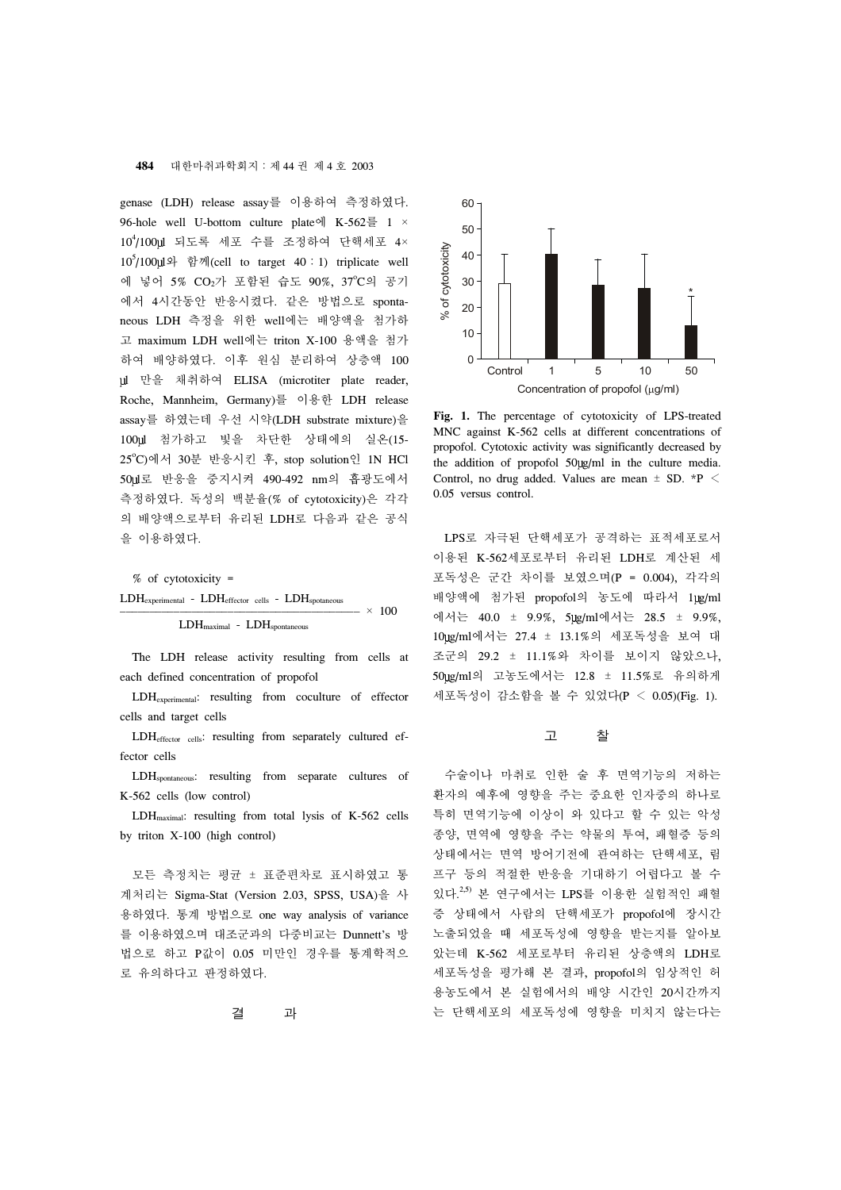#### **484** 대한마취과학회지:제 44 권 제 4 호 2003

genase (LDH) release assay를 이용하여 측정하였다. 96-hole well U-bottom culture plate에 K-562를 1 × 10<sup>4</sup>/100 ll 되도록 세포 수를 조정하여 단핵세포 4× 10<sup>5</sup>/100 와 함께(cell to target 40:1) triplicate well 에 넣어 5% CO<sub>2</sub>가 포함된 습도 90%, 37°C의 공기 에서 4시간동안 반응시켰다. 같은 방법으로 spontaneous LDH 측정을 위한 well에는 배양액을 첨가하 고 maximum LDH well에는 triton X-100 용액을 첨가 하여 배양하였다. 이후 원심 분리하여 상층액 100 l 만을 채취하여 ELISA (microtiter plate reader, Roche, Mannheim, Germany)를 이용한 LDH release assay를 하였는데 우선 시약(LDH substrate mixture)을 100ul 첨가하고 빛을 차단한 상태에의 실온(15-25o C)에서 30분 반응시킨 후, stop solution인 1N HCl 50 l로 반응을 중지시켜 490-492 nm의 흡광도에서 측정하였다. 독성의 백분율(% of cytotoxicity)은 각각 의 배양액으로부터 유리된 LDH로 다음과 같은 공식 을 이용하였다.

% of cytotoxicity =

$$
\begin{array}{c|c|c} \text{LDH}_{experimental} & - \text{LDH}_{effector} & \text{cls} & - \text{LDH}_{spotaneous} \\ \hline & & & & \\ \hline & & & & \\ \hline & & \text{LDH}_{maximal} & - \text{LDH}_{spontaneous} & \end{array} \times 100
$$

 The LDH release activity resulting from cells at each defined concentration of propofol

 LDHexperimental: resulting from coculture of effector cells and target cells

 LDHeffector cells: resulting from separately cultured effector cells

 LDHspontaneous: resulting from separate cultures of K-562 cells (low control)

 LDHmaximal: resulting from total lysis of K-562 cells by triton X-100 (high control)

 모든 측정치는 평균 ± 표준편차로 표시하였고 통 계처리는 Sigma-Stat (Version 2.03, SPSS, USA)을 사 용하였다. 통계 방법으로 one way analysis of variance 를 이용하였으며 대조군과의 다중비교는 Dunnett's 방 법으로 하고 P값이 0.05 미만인 경우를 통계학적으 로 유의하다고 판정하였다.

결 과



**Fig. 1.** The percentage of cytotoxicity of LPS-treated MNC against K-562 cells at different concentrations of propofol. Cytotoxic activity was significantly decreased by the addition of propofol 50 ug/ml in the culture media. Control, no drug added. Values are mean  $\pm$  SD. \*P  $\leq$ 

 LPS로 자극된 단핵세포가 공격하는 표적세포로서 이용된 K-562세포로부터 유리된 LDH로 계산된 세 포독성은 군간 차이를 보였으며(P = 0.004), 각각의 배양액에 첨가된 propofol의 농도에 따라서 1ug/ml 에서는 40.0 ± 9.9%,  $5 \mu g / m$ 에서는 28.5 ± 9.9%, 10 g/ml에서는 27.4 ± 13.1%의 세포독성을 보여 대 조군의 29.2 ± 11.1%와 차이를 보이지 않았으나, 50 g/ml의 고농도에서는 12.8 ± 11.5%로 유의하게 세포독성이 감소함을 볼 수 있었다(P < 0.05)(Fig. 1).

고 찰

 수술이나 마취로 인한 술 후 면역기능의 저하는 환자의 예후에 영향을 주는 중요한 인자중의 하나로 특히 면역기능에 이상이 와 있다고 할 수 있는 악성 종양, 면역에 영향을 주는 약물의 투여, 패혈증 등의 상태에서는 면역 방어기전에 관여하는 단핵세포, 림 프구 등의 적절한 반응을 기대하기 어렵다고 볼 수 있다.<sup>2,5)</sup> 본 연구에서는 LPS를 이용한 실험적인 패혈 증 상태에서 사람의 단핵세포가 propofol에 장시간 노출되었을 때 세포독성에 영향을 받는지를 알아보 았는데 K-562 세포로부터 유리된 상층액의 LDH로 세포독성을 평가해 본 결과, propofol의 임상적인 허 용농도에서 본 실험에서의 배양 시간인 20시간까지 는 단핵세포의 세포독성에 영향을 미치지 않는다는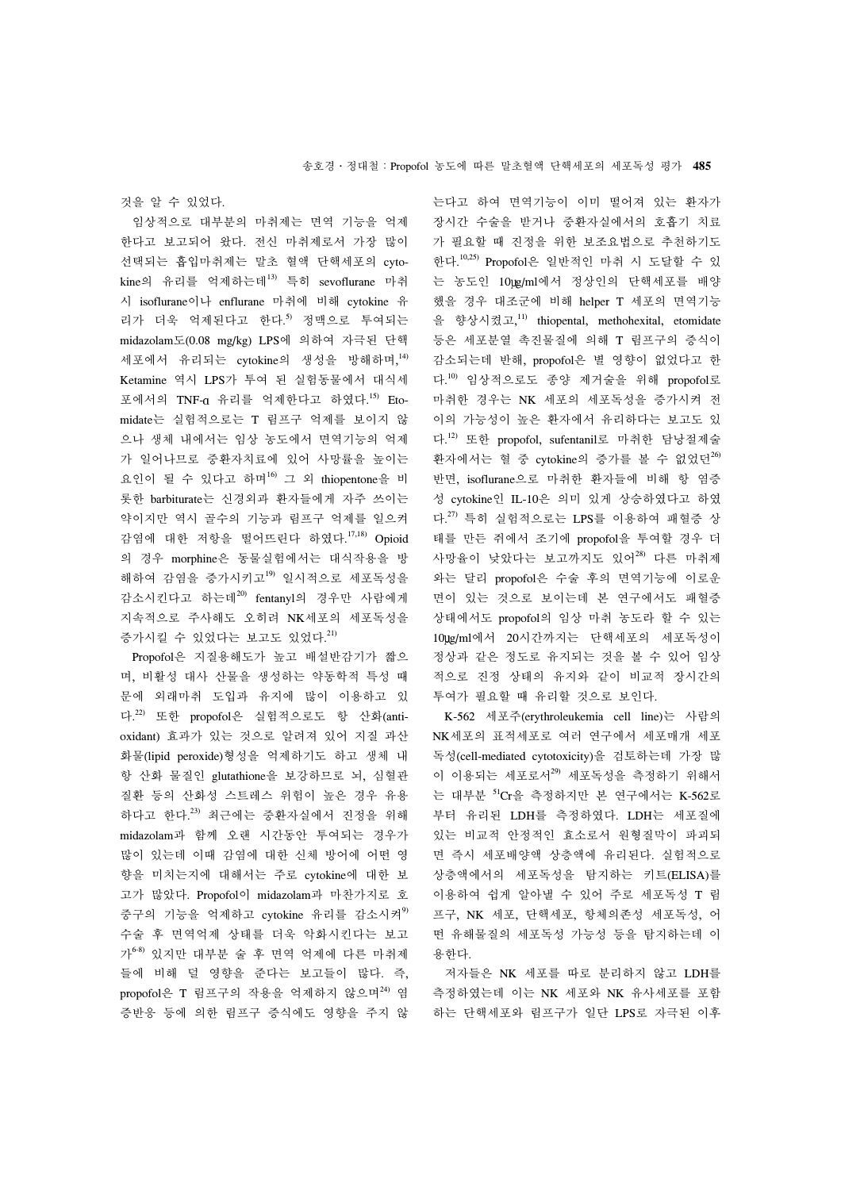것을 알 수 있었다.

 임상적으로 대부분의 마취제는 면역 기능을 억제 한다고 보고되어 왔다. 전신 마취제로서 가장 많이 선택되는 흡입마취제는 말초 혈액 단핵세포의 cytokine의 유리를 억제하는데<sup>13)</sup> 특히 sevoflurane 마취 시 isoflurane이나 enflurane 마취에 비해 cytokine 유 리가 더욱 억제된다고 한다. 5) 정맥으로 투여되는 midazolam도(0.08 mg/kg) LPS에 의하여 자극된 단핵 세포에서 유리되는 cytokine의 생성을 방해하며, 14) Ketamine 역시 LPS가 투여 된 실험동물에서 대식세 포에서의 TNF-α 유리를 억제한다고 하였다.<sup>15)</sup> Etomidate는 실험적으로는 T 림프구 억제를 보이지 않 으나 생체 내에서는 임상 농도에서 면역기능의 억제 가 일어나므로 중환자치료에 있어 사망률을 높이는 요인이 될 수 있다고 하며16) 그 외 thiopentone을 비 롯한 barbiturate는 신경외과 환자들에게 자주 쓰이는 약이지만 역시 골수의 기능과 림프구 억제를 일으켜 감염에 대한 저항을 떨어뜨린다 하였다. 17,18) Opioid 의 경우 morphine은 동물실험에서는 대식작용을 방 해하여 감염을 증가시키고<sup>19)</sup> 일시적으로 세포독성을 감소시킨다고 하는데20) fentanyl의 경우만 사람에게 지속적으로 주사해도 오히려 NK세포의 세포독성을 증가시킬 수 있었다는 보고도 있었다.<sup>21)</sup>

 Propofol은 지질용해도가 높고 배설반감기가 짧으 며, 비활성 대사 산물을 생성하는 약동학적 특성 때 문에 외래마취 도입과 유지에 많이 이용하고 있 다. 22) 또한 propofol은 실험적으로도 항 산화(antioxidant) 효과가 있는 것으로 알려져 있어 지질 과산 화물(lipid peroxide)형성을 억제하기도 하고 생체 내 항 산화 물질인 glutathione을 보강하므로 뇌, 심혈관 질환 등의 산화성 스트레스 위험이 높은 경우 유용 하다고 한다. 23) 최근에는 중환자실에서 진정을 위해 midazolam과 함께 오랜 시간동안 투여되는 경우가 많이 있는데 이때 감염에 대한 신체 방어에 어떤 영 향을 미치는지에 대해서는 주로 cytokine에 대한 보 고가 많았다. Propofol이 midazolam과 마찬가지로 호 중구의 기능을 억제하고 cytokine 유리를 감소시켜<sup>9)</sup> 수술 후 면역억제 상태를 더욱 악화시킨다는 보고 가6-8) 있지만 대부분 술 후 면역 억제에 다른 마취제 들에 비해 덜 영향을 준다는 보고들이 많다. 즉, propofol은 T 림프구의 작용을 억제하지 않으며<sup>24)</sup> 염 증반응 등에 의한 림프구 증식에도 영향을 주지 않

는다고 하여 면역기능이 이미 떨어져 있는 환자가 장시간 수술을 받거나 중환자실에서의 호흡기 치료 가 필요할 때 진정을 위한 보조요법으로 추천하기도 한다. 10,25) Propofol은 일반적인 마취 시 도달할 수 있 는 농도인 10 lg/ml에서 정상인의 단핵세포를 배양 했을 경우 대조군에 비해 helper T 세포의 면역기능 을 향상시켰고, 11) thiopental, methohexital, etomidate 등은 세포분열 촉진물질에 의해 T 림프구의 증식이 감소되는데 반해, propofol은 별 영향이 없었다고 한 다. 10) 임상적으로도 종양 제거술을 위해 propofol로 마취한 경우는 NK 세포의 세포독성을 증가시켜 전 이의 가능성이 높은 환자에서 유리하다는 보고도 있 다. 12) 또한 propofol, sufentanil로 마취한 담낭절제술 환자에서는 혈 중 cytokine의 증가를 볼 수 없었던 $^{26}$ 반면, isoflurane으로 마취한 환자들에 비해 항 염증 성 cytokine인 IL-10은 의미 있게 상승하였다고 하였 다. 27) 특히 실험적으로는 LPS를 이용하여 패혈증 상 태를 만든 쥐에서 조기에 propofol을 투여할 경우 더 사망율이 낮았다는 보고까지도 있어28) 다른 마취제 와는 달리 propofol은 수술 후의 면역기능에 이로운 면이 있는 것으로 보이는데 본 연구에서도 패혈증 상태에서도 propofol의 임상 마취 농도라 할 수 있는 10 g/ml에서 20시간까지는 단핵세포의 세포독성이 정상과 같은 정도로 유지되는 것을 볼 수 있어 임상 적으로 진정 상태의 유지와 같이 비교적 장시간의 투여가 필요할 때 유리할 것으로 보인다.

 K-562 세포주(erythroleukemia cell line)는 사람의 NK세포의 표적세포로 여러 연구에서 세포매개 세포 독성(cell-mediated cytotoxicity)을 검토하는데 가장 많 이 이용되는 세포로서<sup>29)</sup> 세포독성을 측정하기 위해서 는 대부분 51Cr을 측정하지만 본 연구에서는 K-562로 부터 유리된 LDH를 측정하였다. LDH는 세포질에 있는 비교적 안정적인 효소로서 원형질막이 파괴되 면 즉시 세포배양액 상층액에 유리된다. 실험적으로 상층액에서의 세포독성을 탐지하는 키트(ELISA)를 이용하여 쉽게 알아낼 수 있어 주로 세포독성 T 림 프구, NK 세포, 단핵세포, 항체의존성 세포독성, 어 떤 유해물질의 세포독성 가능성 등을 탐지하는데 이 용한다.

 저자들은 NK 세포를 따로 분리하지 않고 LDH를 측정하였는데 이는 NK 세포와 NK 유사세포를 포함 하는 단핵세포와 림프구가 일단 LPS로 자극된 이후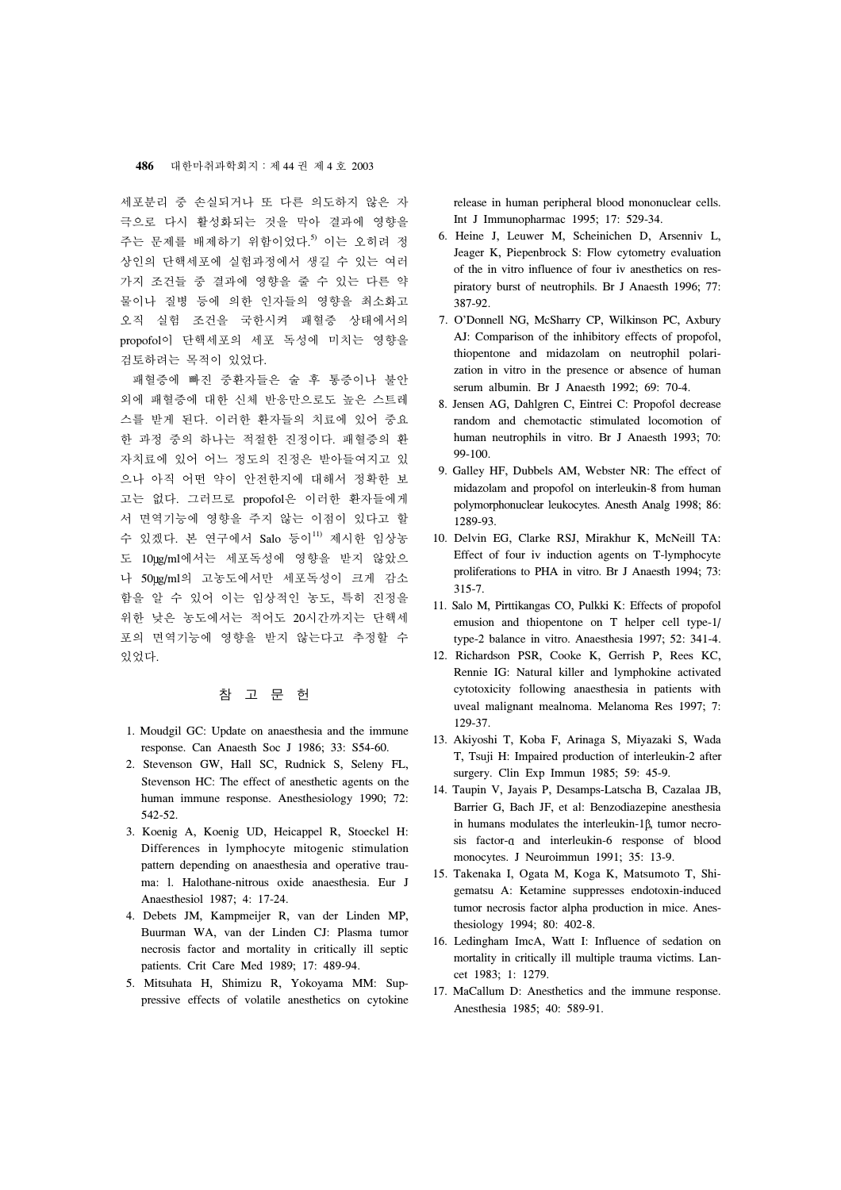세포분리 중 손실되거나 또 다른 의도하지 않은 자 극으로 다시 활성화되는 것을 막아 결과에 영향을 주는 문제를 배제하기 위함이었다. 5) 이는 오히려 정 상인의 단핵세포에 실험과정에서 생길 수 있는 여러 가지 조건들 중 결과에 영향을 줄 수 있는 다른 약 물이나 질병 등에 의한 인자들의 영향을 최소화고 오직 실험 조건을 국한시켜 패혈증 상태에서의 propofol이 단핵세포의 세포 독성에 미치는 영향을 검토하려는 목적이 있었다.

 패혈증에 빠진 중환자들은 술 후 통증이나 불안 외에 패혈증에 대한 신체 반응만으로도 높은 스트레 스를 받게 된다. 이러한 환자들의 치료에 있어 중요 한 과정 중의 하나는 적절한 진정이다. 패혈증의 환 자치료에 있어 어느 정도의 진정은 받아들여지고 있 으나 아직 어떤 약이 안전한지에 대해서 정확한 보 고는 없다. 그러므로 propofol은 이러한 환자들에게 서 면역기능에 영향을 주지 않는 이점이 있다고 할 수 있겠다. 본 연구에서 Salo 등이<sup>11)</sup> 제시한 임상농 도 10ug/ml에서는 세포독성에 영향을 받지 않았으 나 50µg/ml의 고농도에서만 세포독성이 크게 감소 함을 알 수 있어 이는 임상적인 농도, 특히 진정을 위한 낮은 농도에서는 적어도 20시간까지는 단핵세 포의 면역기능에 영향을 받지 않는다고 추정할 수 있었다.

# 참 고 문 헌

- 1. Moudgil GC: Update on anaesthesia and the immune response. Can Anaesth Soc J 1986; 33: S54-60.
- 2. Stevenson GW, Hall SC, Rudnick S, Seleny FL, Stevenson HC: The effect of anesthetic agents on the human immune response. Anesthesiology 1990; 72: 542-52.
- 3. Koenig A, Koenig UD, Heicappel R, Stoeckel H: Differences in lymphocyte mitogenic stimulation pattern depending on anaesthesia and operative trauma: l. Halothane-nitrous oxide anaesthesia. Eur J Anaesthesiol 1987; 4: 17-24.
- 4. Debets JM, Kampmeijer R, van der Linden MP, Buurman WA, van der Linden CJ: Plasma tumor necrosis factor and mortality in critically ill septic patients. Crit Care Med 1989; 17: 489-94.
- 5. Mitsuhata H, Shimizu R, Yokoyama MM: Suppressive effects of volatile anesthetics on cytokine

release in human peripheral blood mononuclear cells. Int J Immunopharmac 1995; 17: 529-34.

- 6. Heine J, Leuwer M, Scheinichen D, Arsenniv L, Jeager K, Piepenbrock S: Flow cytometry evaluation of the in vitro influence of four iv anesthetics on respiratory burst of neutrophils. Br J Anaesth 1996; 77: 387-92.
- 7. O'Donnell NG, McSharry CP, Wilkinson PC, Axbury AJ: Comparison of the inhibitory effects of propofol, thiopentone and midazolam on neutrophil polarization in vitro in the presence or absence of human serum albumin. Br J Anaesth 1992; 69: 70-4.
- 8. Jensen AG, Dahlgren C, Eintrei C: Propofol decrease random and chemotactic stimulated locomotion of human neutrophils in vitro. Br J Anaesth 1993; 70: 99-100.
- 9. Galley HF, Dubbels AM, Webster NR: The effect of midazolam and propofol on interleukin-8 from human polymorphonuclear leukocytes. Anesth Analg 1998; 86: 1289-93.
- 10. Delvin EG, Clarke RSJ, Mirakhur K, McNeill TA: Effect of four iv induction agents on T-lymphocyte proliferations to PHA in vitro. Br J Anaesth 1994; 73: 315-7.
- 11. Salo M, Pirttikangas CO, Pulkki K: Effects of propofol emusion and thiopentone on T helper cell type-1/ type-2 balance in vitro. Anaesthesia 1997; 52: 341-4.
- 12. Richardson PSR, Cooke K, Gerrish P, Rees KC, Rennie IG: Natural killer and lymphokine activated cytotoxicity following anaesthesia in patients with uveal malignant mealnoma. Melanoma Res 1997; 7: 129-37.
- 13. Akiyoshi T, Koba F, Arinaga S, Miyazaki S, Wada T, Tsuji H: Impaired production of interleukin-2 after surgery. Clin Exp Immun 1985; 59: 45-9.
- 14. Taupin V, Jayais P, Desamps-Latscha B, Cazalaa JB, Barrier G, Bach JF, et al: Benzodiazepine anesthesia in humans modulates the interleukin-1 $\beta$ , tumor necrosis factor-a and interleukin-6 response of blood monocytes. J Neuroimmun 1991; 35: 13-9.
- 15. Takenaka I, Ogata M, Koga K, Matsumoto T, Shigematsu A: Ketamine suppresses endotoxin-induced tumor necrosis factor alpha production in mice. Anesthesiology 1994; 80: 402-8.
- 16. Ledingham ImcA, Watt I: Influence of sedation on mortality in critically ill multiple trauma victims. Lancet 1983; 1: 1279.
- 17. MaCallum D: Anesthetics and the immune response. Anesthesia 1985; 40: 589-91.